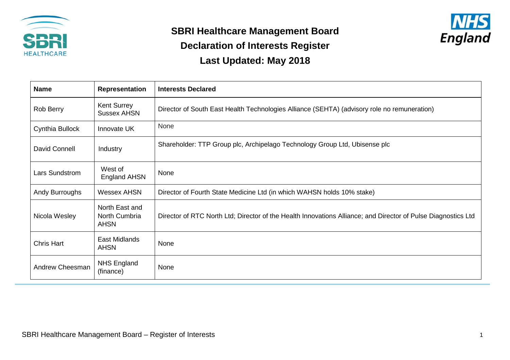

## **SBRI Healthcare Management Board Declaration of Interests Register Last Updated: May 2018**



| <b>Name</b>       | <b>Representation</b>                          | <b>Interests Declared</b>                                                                                     |
|-------------------|------------------------------------------------|---------------------------------------------------------------------------------------------------------------|
| Rob Berry         | Kent Surrey<br><b>Sussex AHSN</b>              | Director of South East Health Technologies Alliance (SEHTA) (advisory role no remuneration)                   |
| Cynthia Bullock   | Innovate UK                                    | None                                                                                                          |
| David Connell     | Industry                                       | Shareholder: TTP Group plc, Archipelago Technology Group Ltd, Ubisense plc                                    |
| Lars Sundstrom    | West of<br><b>England AHSN</b>                 | None                                                                                                          |
| Andy Burroughs    | <b>Wessex AHSN</b>                             | Director of Fourth State Medicine Ltd (in which WAHSN holds 10% stake)                                        |
| Nicola Wesley     | North East and<br>North Cumbria<br><b>AHSN</b> | Director of RTC North Ltd; Director of the Health Innovations Alliance; and Director of Pulse Diagnostics Ltd |
| <b>Chris Hart</b> | East Midlands<br><b>AHSN</b>                   | None                                                                                                          |
| Andrew Cheesman   | <b>NHS England</b><br>(finance)                | None                                                                                                          |